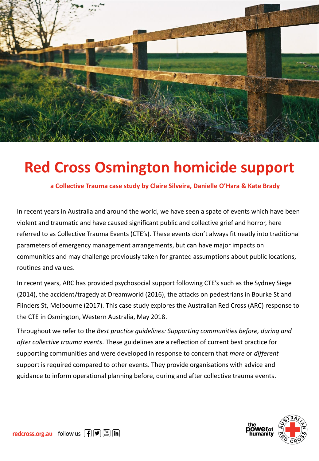

# **Red Cross Osmington homicide support**

**a Collective Trauma case study by Claire Silveira, Danielle O'Hara & Kate Brady**

In recent years in Australia and around the world, we have seen a spate of events which have been violent and traumatic and have caused significant public and collective grief and horror, here referred to as Collective Trauma Events (CTE's). These events don't always fit neatly into traditional parameters of emergency management arrangements, but can have major impacts on communities and may challenge previously taken for granted assumptions about public locations, routines and values.

In recent years, ARC has provided psychosocial support following CTE's such as the Sydney Siege (2014), the accident/tragedy at Dreamworld (2016), the attacks on pedestrians in Bourke St and Flinders St, Melbourne (2017). This case study explores the Australian Red Cross (ARC) response to the CTE in Osmington, Western Australia, May 2018.

Throughout we refer to the *Best practice guidelines: Supporting communities before, during and after collective trauma events*. These guidelines are a reflection of current best practice for supporting communities and were developed in response to concern that *more* or *different*  support is required compared to other events. They provide organisations with advice and guidance to inform operational planning before, during and after collective trauma events.

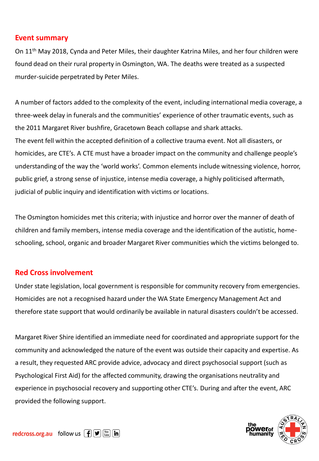### **Event summary**

On 11<sup>th</sup> May 2018, Cynda and Peter Miles, their daughter Katrina Miles, and her four children were found dead on their rural property in Osmington, WA. The deaths were treated as a suspected murder-suicide perpetrated by Peter Miles.

A number of factors added to the complexity of the event, including international media coverage, a three-week delay in funerals and the communities' experience of other traumatic events, such as the 2011 Margaret River bushfire, Gracetown Beach collapse and shark attacks. The event fell within the accepted definition of a collective trauma event. Not all disasters, or homicides, are CTE's. A CTE must have a broader impact on the community and challenge people's understanding of the way the 'world works'. Common elements include witnessing violence, horror, public grief, a strong sense of injustice, intense media coverage, a highly politicised aftermath, judicial of public inquiry and identification with victims or locations.

The Osmington homicides met this criteria; with injustice and horror over the manner of death of children and family members, intense media coverage and the identification of the autistic, homeschooling, school, organic and broader Margaret River communities which the victims belonged to.

## **Red Cross involvement**

Under state legislation, local government is responsible for community recovery from emergencies. Homicides are not a recognised hazard under the WA State Emergency Management Act and therefore state support that would ordinarily be available in natural disasters couldn't be accessed.

Margaret River Shire identified an immediate need for coordinated and appropriate support for the community and acknowledged the nature of the event was outside their capacity and expertise. As a result, they requested ARC provide advice, advocacy and direct psychosocial support (such as Psychological First Aid) for the affected community, drawing the organisations neutrality and experience in psychosocial recovery and supporting other CTE's. During and after the event, ARC provided the following support.

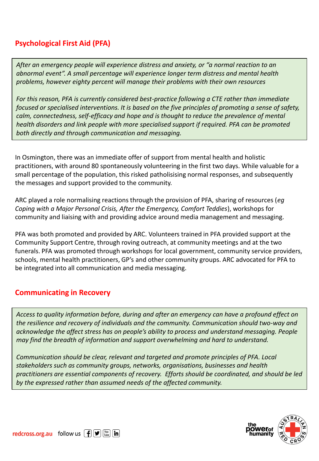# **Psychological First Aid (PFA)**

*After an emergency people will experience distress and anxiety, or "a normal reaction to an abnormal event". A small percentage will experience longer term distress and mental health problems, however eighty percent will manage their problems with their own resources*

*For this reason, PFA is currently considered best-practice following a CTE rather than immediate focused or specialised interventions. It is based on the five principles of promoting a sense of safety, calm, connectedness, self-efficacy and hope and is thought to reduce the prevalence of mental health disorders and link people with more specialised support if required. PFA can be promoted both directly and through communication and messaging.* 

In Osmington, there was an immediate offer of support from mental health and holistic practitioners, with around 80 spontaneously volunteering in the first two days. While valuable for a small percentage of the population, this risked patholisising normal responses, and subsequently the messages and support provided to the community.

ARC played a role normalising reactions through the provision of PFA, sharing of resources (*eg Coping with a Major Personal Crisis, After the Emergency, Comfort Teddies*), workshops for community and liaising with and providing advice around media management and messaging.

PFA was both promoted and provided by ARC. Volunteers trained in PFA provided support at the Community Support Centre, through roving outreach, at community meetings and at the two funerals. PFA was promoted through workshops for local government, community service providers, schools, mental health practitioners, GP's and other community groups. ARC advocated for PFA to be integrated into all communication and media messaging.

# **Communicating in Recovery**

*Access to quality information before, during and after an emergency can have a profound effect on the resilience and recovery of individuals and the community. Communication should two-way and acknowledge the affect stress has on people's ability to process and understand messaging. People may find the breadth of information and support overwhelming and hard to understand.* 

*Communication should be clear, relevant and targeted and promote principles of PFA. Local stakeholders such as community groups, networks, organisations, businesses and health practitioners are essential components of recovery. Efforts should be coordinated, and should be led by the expressed rather than assumed needs of the affected community.*